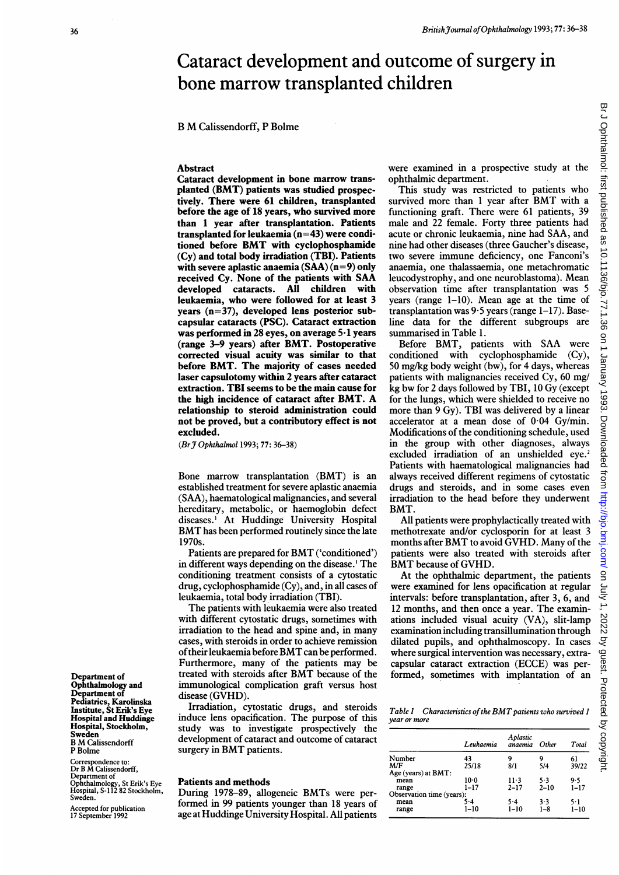# Cataract development and outcome of surgery in bone marrow transplanted children

### <sup>B</sup> M Calissendorff, <sup>P</sup> Bolme

Abstract

Cataract development in bone marrow transplanted (BMT) patients was studied prospectively. There were 61 children, transplanted before the age of 18 years, who survived more than 1 year after transplantation. Patients transplanted for leukaemia  $(n=43)$  were conditioned before BMT with cyclophosphamide (Cy) and total body irradiation (TBI). Patients with severe aplastic anaemia  $(SAA)(n=9)$  only received Cy. None of the patients with SAA developed cataracts. All children with leukaemia, who were followed for at least 3 years (n=37), developed lens posterior subcapsular cataracts (PSC). Cataract extraction was performed in 28 eyes, on average 5-1 years (range 3-9 years) after BMT. Postoperative corrected visual acuity was similar to that before BMT. The majority of cases needed laser capsulotomy within 2 years after cataract extraction. TBI seems to be the main cause for the high incidence of cataract after BMT. A relationship to steroid administration could not be proved, but a contributory effect is not excluded.

(Br J Ophthalmol 1993; 77: 36-38)

Bone marrow transplantation (BMT) is an established treatment for severe aplastic anaemia (SAA), haematological malignancies, and several hereditary, metabolic, or haemoglobin defect diseases. ' At Huddinge University Hospital BMThas been performed routinely since the late 1970s.

Patients are prepared for BMT ('conditioned') in different ways depending on the disease.' The conditioning treatment consists of a cytostatic drug, cyclophosphamide (Cy), and, in all cases of leukaemia, total body irradiation (TBI).

The patients with leukaemia were also treated with different cytostatic drugs, sometimes with irradiation to the head and spine and, in many cases, with steroids in order to achieve remission of their leukaemia before BMT can be performed. Furthermore, many of the patients may be treated with steroids after BMT because of the immunological complication graft versus host disease (GVHD).

Irradiation, cytostatic drugs, and steroids induce lens opacification. The purpose of this study was to investigate prospectively the development of cataract and outcome of cataract surgery in BMT patients.

### Patients and methods

During 1978-89, allogeneic BMTs were performed in 99 patients younger than 18 years of age at Huddinge University Hospital. All patients were examined in a prospective study at the ophthalmic department.

This study was restricted to patients who survived more than <sup>1</sup> year after BMT with <sup>a</sup> functioning graft. There were 61 patients, 39 male and 22 female. Forty three patients had acute or chronic leukaemia, nine had SAA, and nine had other diseases (three Gaucher's disease, two severe immune deficiency, one Fanconi's anaemia, one thalassaemia, one metachromatic leucodystrophy, and one neuroblastoma). Mean observation time after transplantation was 5 years (range 1-10). Mean age at the time of transplantation was  $9.5$  years (range  $1-17$ ). Baseline data for the different subgroups are summarised in Table 1.

Before BMT, patients with SAA were conditioned with cyclophosphamide (Cy), 50 mg/kg body weight (bw), for 4 days, whereas patients with malignancies received Cy, 60 mg/ kg bw for <sup>2</sup> days followed by TBI, <sup>10</sup> Gy (except for the lungs, which were shielded to receive no more than 9 Gy). TBI was delivered by <sup>a</sup> linear accelerator at a mean dose of 0-04 Gy/min. Modifications of the conditioning schedule, used in the group with other diagnoses, always excluded irradiation of an unshielded eye.<sup>2</sup> Patients with haematological malignancies had always received different regimens of cytostatic drugs and steroids, and in some cases even irradiation to the head before they underwent BMT.

All patients were prophylactically treated with methotrexate and/or cyclosporin for at least 3 months after BMT to avoid GVHD. Many of the patients were also treated with steroids after BMT because of GVHD.

At the ophthalmic department, the patients were examined for lens opacification at regular intervals: before transplantation, after 3, 6, and 12 months, and then once a year. The examinations included visual acuity (VA), slit-lamp examination including transillumination through dilated pupils, and ophthalmoscopy. In cases where surgical intervention was necessary, extracapsular cataract extraction (ECCE) was performed, sometimes with implantation of an

Table 1 Characteristics of the BMT patients who survived 1 year or more

|                           | Leukaemia | Aplastic<br>anaemia | Other    | Total    |
|---------------------------|-----------|---------------------|----------|----------|
| Number                    | 43        | 9                   | 9        | 61       |
| M/F                       | 25/18     | 8/1                 | 5/4      | 39/22    |
| Age (years) at BMT:       |           |                     |          |          |
| mean                      | $10-0$    | $11-3$              | 5.3      | 9.5      |
| range                     | $1 - 17$  | $2 - 17$            | $2 - 10$ | $1 - 17$ |
| Observation time (years): |           |                     |          |          |
| mean                      | 5۰4       | $5-4$               | 3.3      | 5.1      |
| range                     | $1 - 10$  | $1 - 10$            | $1 - 8$  | $1 - 10$ |

Department of Ophthalmology and Department of Pediatrics, Karolinska Institute, St Erik's Eye Hospital and Huddinge Hospital, Stockholm, Sweden <sup>B</sup> M Calissendorff P Bolme

Correspondence to: Dr <sup>B</sup> M Calissendorff, Department of Ophthalmology, St Erik's Eye Hospital, S-112 82 Stockholm, Sweden.

Accepted for publication 17 September 1992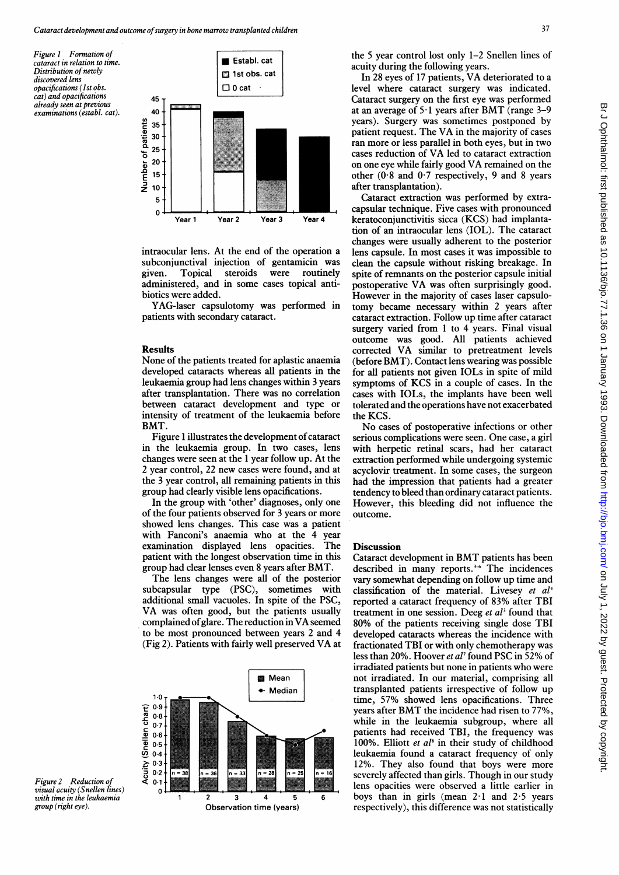Figure <sup>I</sup> Formation of cataract in relation to time. Distribution of newly discovered lens opacifications (Ist obs. cat) and opacifications already seen at previous examinations (establ. cat).



intraocular lens. At the end of the operation a subconjunctival injection of gentamicin was given administered, and in some cases topical antibiotics were added.

YAG-laser capsulotomy was performed in patients with secondary cataract.

#### **Results**

None of the patients treated for aplastic anaemia developed cataracts whereas all patients in the leukaemia group had lens changes within 3 years after transplantation. There was no correlation between cataract development and type or inten sity of treatment of the leukaemia before the KCS. BMT

Figure 1 illustrates the development of cataract in the leukaemia group. In two cases, lens changes were seen at the 1 year follow up. At the 2 year control, 22 new cases were found, and at the 3 year control, all remaining patients in this group had clearly visible lens opacifications.

In the group with 'other' diagnoses, only one of the four patients observed for 3 years or more outcome. showed lens changes. This case was a patient with Fanconi's anaemia who at the 4 examination displayed lens opacities. patient with the longest observation time in this group had clear lenses even 8 years after BA year

The lens changes were all of the posterior subcapsular type (PSC), sometimes with additional small vacuoles. In spite of the PSC, VA was often good, but the patients usually complained of glare. The reduction in VA seemed to be most pronounced between years 2 and 4 (Fig 2). Patients with fairly well preserved



Figure 2 Reduction of visual acuity (Snellen lines) with time in the leukaemia group (right eye).

**Establ. cat the 5 year control lost only 1-2 Snellen lines of** acuity during the following years.

 $\Box$  1st obs. cat  $\Box$  1st obs. cat  $\Box$  1st obs. cat  $\Box$  1 acurity during the following years. level where cataract surgery was indicated. Cataract surgery on the first eye was performed at an average of  $5.1$  years after BMT (range 3-9 years). Surgery was sometimes postponed by patient request. The VA in the majority of cases ran more or less parallel in both eyes, but in two cases reduction of VA led to cataract extraction on one eye while fairly good VA remained on the other  $(0.8$  and  $0.7$  respectively, 9 and 8 years after transplantation).

Cataract extraction was performed by extracapsular technique. Five cases with pronounced Year 1 Year 2 Year 3 Year 4 keratoconjunctivitis sicca (KCS) had implantation of an intraocular lens (IOL). The cataract changes were usually adherent to the posterior lens capsule. In most cases it was impossible to clean the capsule without risking breakage. In Topical steroids were routinely spite of remnants on the posterior capsule initial postoperative VA was often surprisingly good. However in the majority of cases laser capsulotomy became necessary within 2 years after cataract extraction. Follow up time after cataract surgery varied from 1 to 4 years. Final visual outcome was good. All patients achieved corrected VA similar to pretreatment levels (before BMT). Contact lens wearing was possible for all patients not given IOLs in spite of mild symptoms of KCS in a couple of cases. In the cases with IOLs, the implants have been well tolerated and the operations have not exacerbated

> No cases of postoperative infections or other serious complications were seen. One case, a girl with herpetic retinal scars, had her cataract extraction performed while undergoing systemic acyclovir treatment. In some cases, the surgeon had the impression that patients had a greater tendency to bleed than ordinary cataract patients. However, this bleeding did not influence the outcome.

## The Discussion

Cataract development in BMT patients has been described in many reports.<sup>3-6</sup> The incidences vary somewhat depending on follow up time and classification of the material. Livesey et  $al<sup>1</sup>$ reported a cataract frequency of 83% after TBI treatment in one session. Deeg et  $al<sup>3</sup>$  found that 80% of the patients receiving single dose TBI developed cataracts whereas the incidence with fractionated TBI or with only chemotherapy was less than 20%. Hoover et al' found PSC in 52% of irradiated patients but none in patients who were not irradiated. In our material, comprising all transplanted patients irrespective of follow up time, 57% showed lens opacifications. Three years after BMT the incidence had risen to 77%, while in the leukaemia subgroup, where all patients had received TBI, the frequency was 100%. Elliott et  $al^s$  in their study of childhood leukaemia found a cataract frequency of only 12%. They also found that boys were more severely affected than girls. Though in our study lens opacities were observed a little earlier in  $\overline{6}$  boys than in girls (mean 2.1 and 2.5 years respectively), this difference was not statistically

37